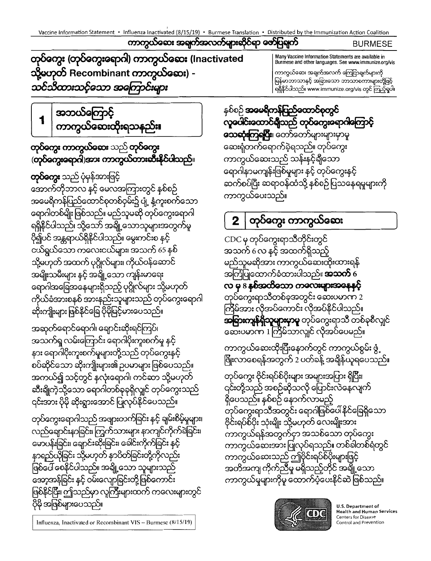Vaccine Information Statement • Influenza Inactivated (8/15/19) • Burmese Translation • Distributed by the Immunization Action Coalition

တု**ပ်ကွေး (တုပ်ကွေးရောဂါ) ကာကွယ်လေး (**Inactivated သို့မဟုတ် Recombinant ကာကွယ်လေး) -သင်သိထားသင့်သော အကြောင်းများ

အဘယ်ကြောင့် 1 ကာကွယ်ဆေးထိုးရသနည်**း၊** 

# **တုပ်ကွေး ကာကွယ်ဆေး** သည် **တုပ်ကွေး** (တု**ပ်ကွေးရောဂါ)အား ကာကွယ်တားဆီးနိုင်ပါသည်**။

**တုပ်ကွေး** သည် ပုံမှန်အားဖြင့် အောက်တိုဘာလ နှင့် မေလအကြားတွင် နှစ်စဉ် အမေရိကန်ပြည်ထောင်စုတစ်ဝှမ်း၌ ပျံ့ နံ့ကူးစက်သော ရောဂါတစ်မျိုးဖြစ်သည်။ မည်သူမဆို တုပ်ကွေးရောဂါ ရရှိနိုင်ပါသည်၊ သို့သော် အချို့သောသူများအတွက်မူ ပို၍ပင် အန္တရာယ်ရှိနိုင်ပါသည်။ မွေးကင်းစ နင့် ငယ်ရွယ်သော ကလေးငယ်များ၊ အသက် 65 နစ် သို့မဟုတ် အထက် ပုဂ္ဂိုလ်များ၊ ကိုယ်ဝန်ဆောင် အမျိုးသမီးများ နှင့် အချို့သော ကျန်းမာရေး ရောဂါအခြေအနေများရှိသည့် ပုဂ္ဂိုလ်များ သို့မဟုတ် ကိုယ်ခံအားစနစ် အားနည်းသူများသည် တုပ်ကွေးရောဂါ ဆိုးကျိုးများ ဖြစ်နိုင်ခြေ ပိုမိုမြင့်မားပေသည်။

အဆုတ်ရောင်ရောဂါ၊ ရောင်းဆိုးရင်ကြပ်၊ အသက်ရှ လမ်းကြောင်း ရောဂါပိုးကူးစက်မှု နှင့် နား ရောဂါပိုးကူးစက်မှုများတို့သည် တုပ်ကွေးနှင့် စပ်ဆိုင်သော ဆိုးကျိုးများ၏ ဥပမာများ ဖြစ်ပေသည်။ အကယ်၍ သင့်တွင် နှလုံးရောဂါ၊ ကင်ဆာ သို့မဟုတ် ဆီးချိုကဲ့သို့သော ရောဂါတစ်ခုခုရှိလျှင် တုပ်ကွေးသည် ၎င်းအား ပိုမို ဆိုးရွားအောင် ပြုလုပ်နိုင်ပေသည်။

တုပ်ကွေးရောဂါသည် အဖျားတက်ခြင်း နှင့် ချမ်းစိမ့်မှုများ၊ လည်ချောင်းနာခြင်း၊ ကြွက်သားများ နာကျင်ကိုက်ခဲခြင်း၊ မောပန်းခြင်း၊ ချောင်းဆိုးခြင်း၊ ခေါင်းကိုက်ခြင်း နှင့် နာရည်ယိုခြင်း သို့မဟုတ် နာပိတ်ခြင်းတို့ကိုလည်း ဖြစ်ပေါ် စေနိုင်ပါသည်။ အချို့သော သူများသည် အော့အန်ခြင်း နှင့် ဝမ်းလျောခြင်းတို့ဖြစ်ကောင်း ဖြစ်နိုင်ပြီး၊ ဤသည်မှာ လူကြီးများထက် ကလေးများတွင် ပိုမို အဖြစ်များပေသည်။



**U.S. Department of Health and Human Services** Centers for Disease Control and Prevention

တုပ်ကွေး ဗိုင်းရပ်စ်ပိုးများ အများအပြား ရှိပြီး၊ ၎င်းတို့သည် အစဉ်ဆိုသလို ပြောင်းလဲနေလျက် ရှိပေသည်။ နှစ်စဉ် နောက်လာမည့် တုပ်ကွေးရာသီအတွင်း ရောဂါဖြစ်ပေါ် နိုင်ခြေရှိသော ဗိုင်းရပ်စ်ပိုး သုံးမျိုး သို့မဟုတ် လေးမျိုးအား ကာကွယ်ရန်အတွက်ငှာ အသစ်သော တုပ်ကွေး ကာကွယ်ဆေးအား ပြုလုပ်ရသည်။ တစ်ခါတစ်ရံတွင် ကာကွယ်ဆေးသည် ဤဗိုင်းရပ်စ်ပိုးများဖြင့် အတိအကျ ကိုက်ညီမှု မရှိသည့်တိုင် အချို့သော ကာကွယ်မှုများကိုမူ ထောက်ပံ့ပေးနိင်ဆဲ ဖြစ်သည်။

ကာကွယ်ဆေးထိုးပြီးနောက်တွင် ကာကွယ်စွမ်း ဖွံ့ ဖြိုးလာစေရန်အတွက် 2 ပတ်ခန့် အချိန်ယူရပေသည်။

ကြိမ်အား လိုအပ်ကောင်း လိုအပ်နိင်ပါသည်။ **အခြားကျန်ရှိသူများမှာမူ** တုပ်ကွေးရာသီ တစ်ခုစီလျှင် ဆေးပမာဏ 1 ကြိမ်သာလျင် လိုအပ်ပေမည်။

တုပ်ကွေးရာသီတစ်ခုအတွင်း ဆေးပမာက 2

အသက် 6 လ နှင့် အထက်ရှိသည့် မည်သူမဆိုအား ကာကွယ်ဆေးထိုးထားရန် အကြံပြုထောက်ခံထားပါသည်။ **အသက်** 6 လ မှ 8 နှစ်အထိသော ကလေးများအနေနှင့်

နှစ်စဉ် **အမေရိကန်ပြည်ထောင်စုတွင်** လူပေါင်းထောင်ရှိသည် တုပ်ကွေးရောဂါကြောင့် **သေဆုံးကြရပြီး**၊ တော်တော်များများမှာမူ ဆေးရုံတက်ရောက်ခဲ့ရသည်။ တုပ်ကွေး ကာကွယ်ဆေးသည် သန်းနင့်ရှိသော နောဂါနာမကျန်းဖြစ်မှုများ နှင့် တုပ်ကွေးနှင့် ဆက်စပ်ပြီး ဆရာဝန်ထံသို့ နစ်စဉ်ပြသနေရမှုများကို ကာကွယ်ပေးသည်။

တုပ်ကွေး ကာကွယ်ဆေး

CDC မှ တုပ်ကွေးရာသီတိုင်းတွင်

Many Vaccine Information Statements are available in Burmese and other languages. See www.immunize.org/vis ကာကွယ်ဆေး အချက်အလက် ကြေငြာချက်များကို မြန်မာဘာသာနှင့် အခြားသော ဘာသာစကားများတို့ဖြင့်

ရရှိနိုင်ပါသည်။ www.immunize.org/vis တွင် ကြည့်ရှပါ။

ကာကွယ်ဆေး အချက်အလက်များဆိုင်ရာ ဇော်ပြချက် **BURMESE** 

2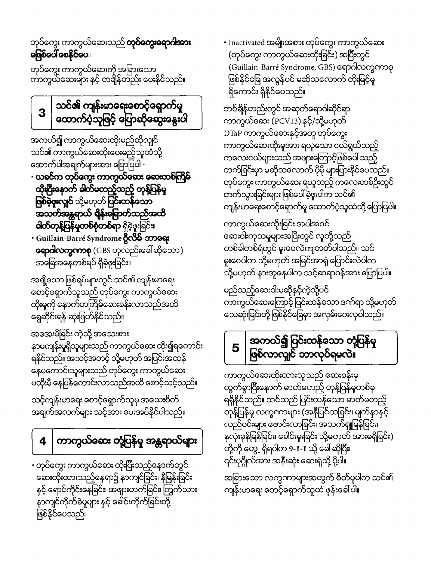• တုပ်ကွေး ကာကွယ်ဆေး ထိုးပြီးသည့်နောက်တွင် ဆေးထိုးထားသည့်နေရာ၌ နာကျင်ခြင်း၊ နှိမြန်းခြင်း နှင့် ရောင်ကိုင်းနေခြင်း၊ အဖျားတက်ခြင်း၊ ကြွက်သား နာကျင်ကိုက်ခဲမှုများ နှင့် ခေါင်းကိုက်ခြင်းတို့ ဖြစ်နိုင်ပေသည်။

#### ကာကွယ်ဆေး တုံ့ပြန်မှု အန္တရာယ်များ 4

သင့်ကျန်းမာရေး စောင့်ရှောက်သူမှ အသေးစိတ် အချက်အလက်များ သင့်အား ပေးအပ်နိုင်ပါသည်။

အအေးမိခြင်း ကဲ့သို့ အသေးစား နာမကျန်းမှုရှိသူများသည် ကာကွယ်ဆေး ထိုး၍ရကောင်း ရနိုင်သည်။ အသင့်အတင့် သို့မဟုတ် အပြင်းအထန် နေမကောင်းသူများသည် တုပ်ကွေး ကာကွယ်ဆေး မထိုးမီ နေပြန်ကောင်းလာသည်အထိ စောင့်သင့်သည်။

အချို့သော ဖြစ်ရပ်များတွင် သင်၏ ကျန်းမာရေး စောင့်ရှောက်သူသည် တုပ်ကွေး ကာကွယ်ဆေး ထိုးမှုကို နောက်တကြိမ်ဆေးခန်းလာသည်အထိ ရွေဆိုင်းရန် ဆုံးဖြတ်နိုင်သည်။

**ဖြစ်ခဲ့ဖူးလျှင် သို့မဟုတ် ပြင်းထန်သော** အသက်အန္တရာယ် ရှိန်းခြောက်သည်အထိ **ဓါတ်တုန့်ပြန်မှုတစ်စုံတစ်ရာ** ရှိခဲ့ဖူးခြင်း။ • Guillain-Barré Syndrome 8086-00000 **ရောဂါလက္စကာစု** (GBS ဟုလည်းခေါ် ဆိုသော) အခြေအနေတစ်ရပ် ရှိခဲ့ဖူးခြင်း။

အကယ်၍ ကာကွယ်ဆေးထိုးမည်ဆိုလျင် သင်၏ ကာကွယ်ဆေးထိုးပေးမည့်သူထံသို့ အောက်ပါအချက်များအား ပြောပြပါ -- ယခင်က တုပ်တွေး ကာကွယ်ဆေး ဆေးတစ်ကြိမ် ထိုးပြီးနောက် ဓါတ်မတည့်သည့် တုန့်ပြန်မှု

သင်၏ ကျန်းမာရေးစောင့်ရှောက်မှု 3 ထောက်ပံ့သူဖြင့် ပြောဆိုဆွေးနွေးပါ

တုပ်ကွေး ကာကွယ်ဆေးကို အခြားသော<br>ကာကွယ်ဆေးများ နှင့် တရျိန်တည်း ပေးနိုင်သည်။

တုပ်ကွေး ကာကွယ်ဆေးသည် **တုပ်ကွေးရောဂါးအား** မုဇုစုလေ့ စေနိုင်ဝေ။

> အခြားသော လက္ခကာများအတွက် စိတ်ပူပါက သင်၏ ကျန်းမာရေး စောင့်ရှောက်သူထံ ဖုန်းခေါ် ပါ။

ကာကွယ်ဆေးထိုးထားသူသည် ဆေးခန်းမှ ထွက်စွာပြီးနောက် ဓာတ်မတည့် တုန့်ပြန်မှုတစ်ခု ရရှိနိုင်သည်။ သင်သည် ပြင်းထန်သော ဓာတ်မတည့် တုန့်ပြန်မှု လက္ခဏာများ (အနီပြင်ထခြင်း၊ မျက်နာနှင့် လည်ပင်းများ ဖောင်းလာခြင်း၊ အသက်ရှူမြန်ခြင်း၊ နှလုံးခုန်မြန်ခြင်း၊ ခေါင်းမူးခြင်း သို့မဟုတ် အားမရှိခြင်း) တို့ကို တွေ့ ရှိရပါက 9-1-1 သို့ ခေါ် ဆိုပြီး၊ ၎င်းပုဂ္ဂိုလ်အား အနီးဆုံး ဆေးရုံသို့ ပို့ပါ။

#### အကယ်၍ ပြင်းထန်သော တုံ့ပြန်မှု  $\overline{\mathbf{5}}$ ဖြစ်လာလျှင် ဘာလုပ်ရမလဲ။

မည်သည့်ဆေးဝါးမဆိုနှင့်ကဲ့သို့ပင် ကာကွယ်ဆေးကြောင့် ပြင်းထန်သော ဒဏ်ရာ သို့မဟုတ် သေဆုံးခြင်းတို့ဖြစ်နိုင်ခြေမှာ အလှမ်းဝေးလှပါသည်။

ကာကွယ်ဆေးထိုးခြင်း အပါအဝင် ဆေးဝါးကုသမှုများအပြီးတွင် လူတို့သည် တစ်ခါတစ်ရံတွင် မူးဝေလဲကျတတ်ပါသည်။ သင် မူးဝေပါက သို့မဟုတ် အမြင်အာရုံ ပြောင်းလဲပါက သို့မဟုတ် နားအူနေပါက သင့်ဆရာဝန်အား ပြောပြပါ။

တစ်ချိန်တည်းတွင် အဆုတ်ရောဂါဆိုင်ရာ ကာကွယ်ဆေး (PCV13) နင့်/သို့မဟုတ် DTaP ကာကွယ်ဆေးနှင့်အတူ တုပ်ကွေး ကာကွယ်ဆေးထိုးမှုအား ရယူသော ငယ်ရွယ်သည့် ကလေးငယ်များသည် အဖျားကြောင့်ဖြစ်ပေါ် သည့် တက်ခြင်းမှာ မဆိုသလောက် ပိုမို များပြားနိုင်ပေသည်။ တုပ်ကွေး ကာကွယ်ဆေး ရယူသည့် ကလေးတစ်ဦးတွင် တက်သွားခြင်းများ ဖြစ်ပေါ်ခဲ့ဖူးပါက သင်၏ ကျန်းမာရေးစောင့်ရှောက်မှု ထောက်ပံ့သူထံသို့ ပြောပြပါ။

• Inactivated အမျိုးအစား တုပ်ကွေး ကာကွယ်ဆေး (တုပ်ကွေး ကာကွယ်ဆေးထိုးခြင်း) အပြီးတွင် (Guillain-Barré Syndrome, GBS) ရောဂါလက္ခဏာစု ဖြစ်နိုင်ခြေ အလွန်ပင် မဆိုသလောက် တိုးမြင့်မှု ရှိကောင်း ရှိနိုင်ပေသည်။